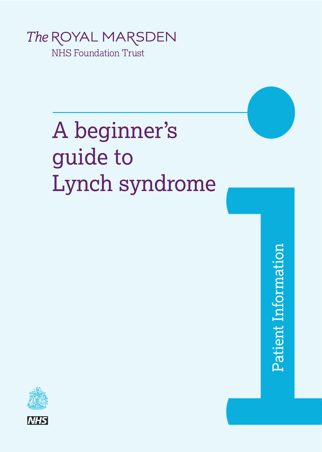

A beginner's guide to Lynch syndrome

in the contract of the contract of the contract of the contract of the contract of the contract of the contract of the contract of the contract of the contract of the contract of the contract of the contract of the contrac

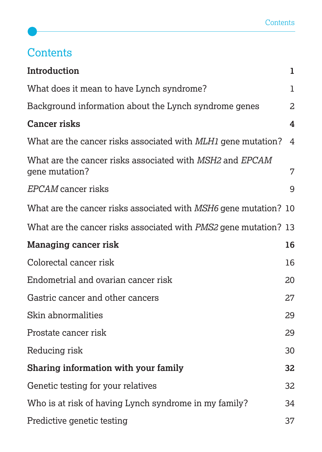# **Contents**

| Introduction                                                               | 1              |
|----------------------------------------------------------------------------|----------------|
| What does it mean to have Lynch syndrome?                                  | $\mathbf{1}$   |
| Background information about the Lynch syndrome genes                      | $\overline{a}$ |
| <b>Cancer risks</b>                                                        | 4              |
| What are the cancer risks associated with MLH1 gene mutation?              | 4              |
| What are the cancer risks associated with MSH2 and EPCAM<br>gene mutation? | 7              |
| EPCAM cancer risks                                                         | 9              |
| What are the cancer risks associated with MSH6 gene mutation? 10           |                |
| What are the cancer risks associated with <i>PMS2</i> gene mutation? 13    |                |
| <b>Managing cancer risk</b>                                                | 16             |
| Colorectal cancer risk                                                     | 16             |
| Endometrial and ovarian cancer risk                                        | 20             |
| Gastric cancer and other cancers                                           | 27             |
| Skin abnormalities                                                         | 29             |
| Prostate cancer risk                                                       | 29             |
| Reducing risk                                                              | 30             |
| Sharing information with your family                                       | 32             |
| Genetic testing for your relatives                                         | 32             |
| Who is at risk of having Lynch syndrome in my family?                      | 34             |
| Predictive genetic testing                                                 | 37             |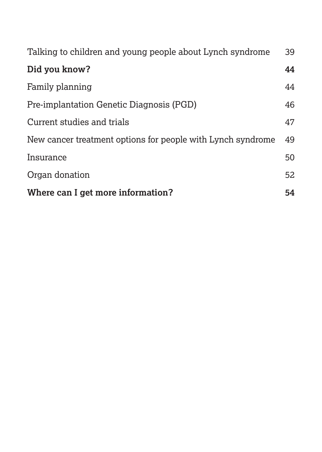| Talking to children and young people about Lynch syndrome   | 39 |
|-------------------------------------------------------------|----|
| Did you know?                                               | 44 |
| Family planning                                             | 44 |
| Pre-implantation Genetic Diagnosis (PGD)                    | 46 |
| Current studies and trials                                  | 47 |
| New cancer treatment options for people with Lynch syndrome | 49 |
| Insurance                                                   | 50 |
| Organ donation                                              | 52 |
| Where can I get more information?                           | 54 |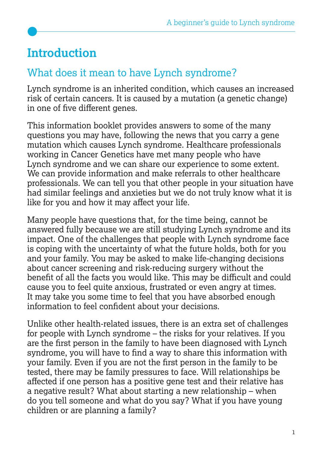# **Introduction**

# What does it mean to have Lynch syndrome?

Lynch syndrome is an inherited condition, which causes an increased risk of certain cancers. It is caused by a mutation (a genetic change) in one of five different genes.

This information booklet provides answers to some of the many questions you may have, following the news that you carry a gene mutation which causes Lynch syndrome. Healthcare professionals working in Cancer Genetics have met many people who have Lynch syndrome and we can share our experience to some extent. We can provide information and make referrals to other healthcare professionals. We can tell you that other people in your situation have had similar feelings and anxieties but we do not truly know what it is like for you and how it may affect your life.

Many people have questions that, for the time being, cannot be answered fully because we are still studying Lynch syndrome and its impact. One of the challenges that people with Lynch syndrome face is coping with the uncertainty of what the future holds, both for you and your family. You may be asked to make life-changing decisions about cancer screening and risk-reducing surgery without the benefit of all the facts you would like. This may be difficult and could cause you to feel quite anxious, frustrated or even angry at times. It may take you some time to feel that you have absorbed enough information to feel confident about your decisions.

Unlike other health-related issues, there is an extra set of challenges for people with Lynch syndrome – the risks for your relatives. If you are the first person in the family to have been diagnosed with Lynch syndrome, you will have to find a way to share this information with your family. Even if you are not the first person in the family to be tested, there may be family pressures to face. Will relationships be affected if one person has a positive gene test and their relative has a negative result? What about starting a new relationship – when do you tell someone and what do you say? What if you have young children or are planning a family?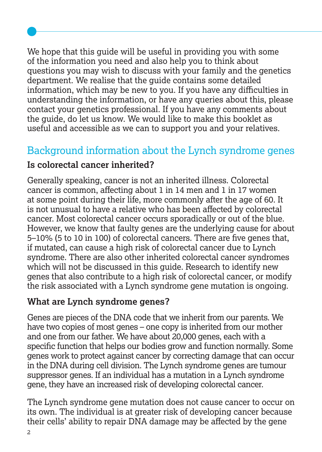We hope that this quide will be useful in providing you with some of the information you need and also help you to think about questions you may wish to discuss with your family and the genetics department. We realise that the guide contains some detailed information, which may be new to you. If you have any difficulties in understanding the information, or have any queries about this, please contact your genetics professional. If you have any comments about the guide, do let us know. We would like to make this booklet as useful and accessible as we can to support you and your relatives.

# Background information about the Lynch syndrome genes

#### **Is colorectal cancer inherited?**

Generally speaking, cancer is not an inherited illness. Colorectal cancer is common, affecting about 1 in 14 men and 1 in 17 women at some point during their life, more commonly after the age of 60. It is not unusual to have a relative who has been affected by colorectal cancer. Most colorectal cancer occurs sporadically or out of the blue. However, we know that faulty genes are the underlying cause for about 5–10% (5 to 10 in 100) of colorectal cancers. There are five genes that, if mutated, can cause a high risk of colorectal cancer due to Lynch syndrome. There are also other inherited colorectal cancer syndromes which will not be discussed in this guide. Research to identify new genes that also contribute to a high risk of colorectal cancer, or modify the risk associated with a Lynch syndrome gene mutation is ongoing.

#### **What are Lynch syndrome genes?**

Genes are pieces of the DNA code that we inherit from our parents. We have two copies of most genes – one copy is inherited from our mother and one from our father. We have about 20,000 genes, each with a specific function that helps our bodies grow and function normally. Some genes work to protect against cancer by correcting damage that can occur in the DNA during cell division. The Lynch syndrome genes are tumour suppressor genes. If an individual has a mutation in a Lynch syndrome gene, they have an increased risk of developing colorectal cancer.

The Lynch syndrome gene mutation does not cause cancer to occur on its own. The individual is at greater risk of developing cancer because their cells' ability to repair DNA damage may be affected by the gene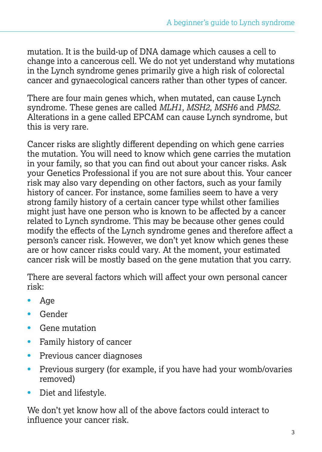mutation. It is the build-up of DNA damage which causes a cell to change into a cancerous cell. We do not yet understand why mutations in the Lynch syndrome genes primarily give a high risk of colorectal cancer and gynaecological cancers rather than other types of cancer.

There are four main genes which, when mutated, can cause Lynch syndrome. These genes are called *MLH1, MSH2, MSH6* and *PMS2*. Alterations in a gene called EPCAM can cause Lynch syndrome, but this is very rare.

Cancer risks are slightly different depending on which gene carries the mutation. You will need to know which gene carries the mutation in your family, so that you can find out about your cancer risks. Ask your Genetics Professional if you are not sure about this. Your cancer risk may also vary depending on other factors, such as your family history of cancer. For instance, some families seem to have a very strong family history of a certain cancer type whilst other families might just have one person who is known to be affected by a cancer related to Lynch syndrome. This may be because other genes could modify the effects of the Lynch syndrome genes and therefore affect a person's cancer risk. However, we don't yet know which genes these are or how cancer risks could vary. At the moment, your estimated cancer risk will be mostly based on the gene mutation that you carry.

There are several factors which will affect your own personal cancer risk:

- Age
- Gender
- Gene mutation
- Family history of cancer
- Previous cancer diagnoses
- Previous surgery (for example, if you have had your womb/ovaries removed)
- Diet and lifestyle.

We don't yet know how all of the above factors could interact to influence your cancer risk.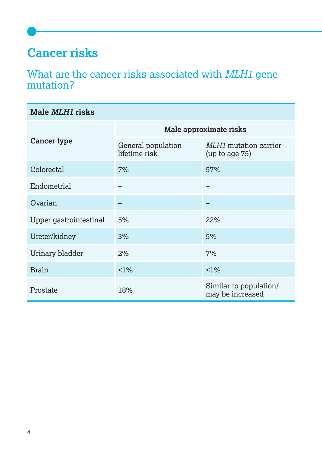# **Cancer risks**

# What are the cancer risks associated with *MLH1* gene mutation?

| Male <i>MLH1</i> risks |                                     |                                            |  |
|------------------------|-------------------------------------|--------------------------------------------|--|
| <b>Cancer type</b>     | Male approximate risks              |                                            |  |
|                        | General population<br>lifetime risk | MLH1 mutation carrier<br>(up to age 75)    |  |
| Colorectal             | 7%                                  | 57%                                        |  |
| Endometrial            |                                     |                                            |  |
| Ovarian                |                                     |                                            |  |
| Upper gastrointestinal | 5%                                  | 22%                                        |  |
| Ureter/kidney          | 3%                                  | 5%                                         |  |
| Urinary bladder        | 2%                                  | 7%                                         |  |
| <b>Brain</b>           | $1\%$                               | $1\%$                                      |  |
| Prostate               | 18%                                 | Similar to population/<br>may be increased |  |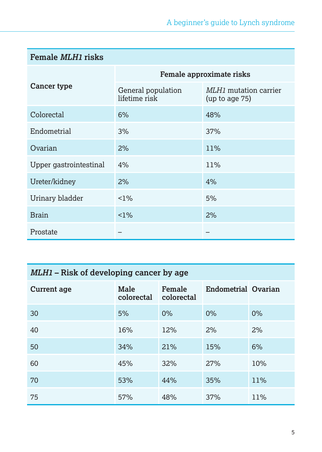| <b>Female MLH1 risks</b> |                                     |                                         |  |
|--------------------------|-------------------------------------|-----------------------------------------|--|
| Cancer type              | Female approximate risks            |                                         |  |
|                          | General population<br>lifetime risk | MLH1 mutation carrier<br>(up to age 75) |  |
| Colorectal               | 6%                                  | 48%                                     |  |
| Endometrial              | 3%                                  | 37%                                     |  |
| Ovarian                  | 2%                                  | 11%                                     |  |
| Upper gastrointestinal   | 4%                                  | 11%                                     |  |
| Ureter/kidney            | 2%                                  | 4%                                      |  |
| Urinary bladder          | $1\%$                               | 5%                                      |  |
| <b>Brain</b>             | $1\%$                               | 2%                                      |  |
| Prostate                 |                                     |                                         |  |

# *MLH1* **– Risk of developing cancer by age**

| <b>Current age</b> | Male<br>colorectal | Female<br>colorectal | <b>Endometrial Ovarian</b> |     |
|--------------------|--------------------|----------------------|----------------------------|-----|
| 30                 | 5%                 | $0\%$                | $0\%$                      | 0%  |
| 40                 | 16%                | 12%                  | 2%                         | 2%  |
| 50                 | 34%                | 21%                  | 15%                        | 6%  |
| 60                 | 45%                | 32%                  | 27%                        | 10% |
| 70                 | 53%                | 44%                  | 35%                        | 11% |
| 75                 | 57%                | 48%                  | 37%                        | 11% |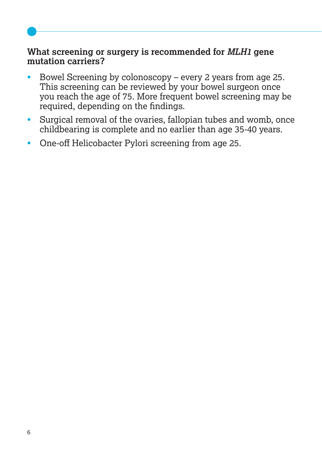#### **What screening or surgery is recommended for** *MLH1* **gene mutation carriers?**

- Bowel Screening by colonoscopy every 2 years from age 25. This screening can be reviewed by your bowel surgeon once you reach the age of 75. More frequent bowel screening may be required, depending on the findings.
- Surgical removal of the ovaries, fallopian tubes and womb, once childbearing is complete and no earlier than age 35-40 years.
- One-off Helicobacter Pylori screening from age 25.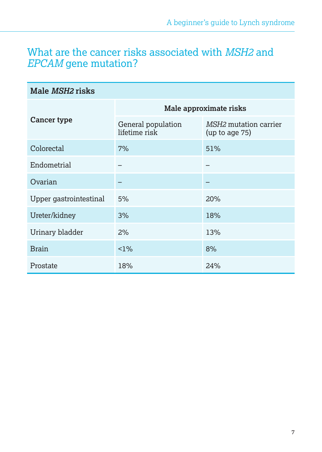# What are the cancer risks associated with *MSH2* and *EPCAM* gene mutation?

| Male <i>MSH2</i> risks |                                     |                                                |  |
|------------------------|-------------------------------------|------------------------------------------------|--|
| <b>Cancer type</b>     | Male approximate risks              |                                                |  |
|                        | General population<br>lifetime risk | <i>MSH2</i> mutation carrier<br>(up to age 75) |  |
| Colorectal             | 7%                                  | 51%                                            |  |
| Endometrial            |                                     |                                                |  |
| Ovarian                |                                     |                                                |  |
| Upper gastrointestinal | 5%                                  | 20%                                            |  |
| Ureter/kidney          | 3%                                  | 18%                                            |  |
| Urinary bladder        | 2%                                  | 13%                                            |  |
| <b>Brain</b>           | $1\%$                               | 8%                                             |  |
| Prostate               | 18%                                 | 24%                                            |  |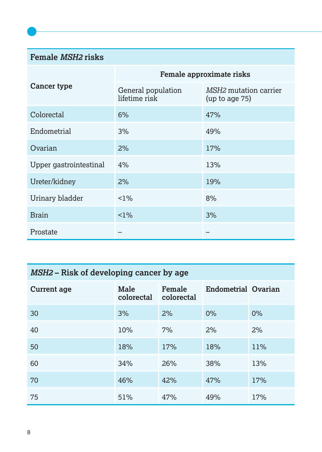#### **Female** *MSH2* **risks**

|                        | Female approximate risks            |                                         |  |
|------------------------|-------------------------------------|-----------------------------------------|--|
| Cancer type            | General population<br>lifetime risk | MSH2 mutation carrier<br>(up to age 75) |  |
| Colorectal             | 6%                                  | 47%                                     |  |
| Endometrial            | 3%                                  | 49%                                     |  |
| Ovarian                | 2%                                  | 17%                                     |  |
| Upper gastrointestinal | 4%                                  | 13%                                     |  |
| Ureter/kidney          | 2%                                  | 19%                                     |  |
| Urinary bladder        | $1\%$                               | 8%                                      |  |
| <b>Brain</b>           | $1\%$                               | 3%                                      |  |
| Prostate               |                                     |                                         |  |

# *MSH2* **– Risk of developing cancer by age**

| <b>Current age</b> | Male<br>colorectal | Female<br>colorectal | <b>Endometrial Ovarian</b> |     |
|--------------------|--------------------|----------------------|----------------------------|-----|
| 30                 | 3%                 | 2%                   | 0%                         | 0%  |
| 40                 | 10%                | 7%                   | 2%                         | 2%  |
| 50                 | 18%                | 17%                  | 18%                        | 11% |
| 60                 | 34%                | 26%                  | 38%                        | 13% |
| 70                 | 46%                | 42%                  | 47%                        | 17% |
| 75                 | 51%                | 47%                  | 49%                        | 17% |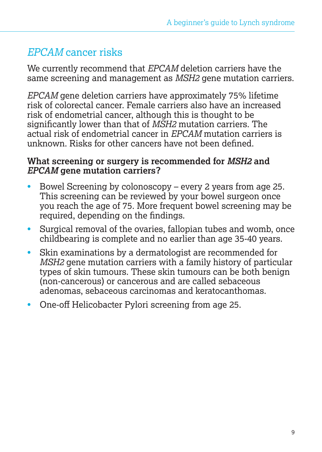# *EPCAM* cancer risks

We currently recommend that *EPCAM* deletion carriers have the same screening and management as *MSH2* gene mutation carriers.

*EPCAM* gene deletion carriers have approximately 75% lifetime risk of colorectal cancer. Female carriers also have an increased risk of endometrial cancer, although this is thought to be significantly lower than that of *MSH2* mutation carriers. The actual risk of endometrial cancer in *EPCAM* mutation carriers is unknown. Risks for other cancers have not been defined.

#### **What screening or surgery is recommended for** *MSH2* **and**  *EPCAM* **gene mutation carriers?**

- Bowel Screening by colonoscopy every 2 years from age 25. This screening can be reviewed by your bowel surgeon once you reach the age of 75. More frequent bowel screening may be required, depending on the findings.
- Surgical removal of the ovaries, fallopian tubes and womb, once childbearing is complete and no earlier than age 35-40 years.
- Skin examinations by a dermatologist are recommended for *MSH2* gene mutation carriers with a family history of particular types of skin tumours. These skin tumours can be both benign (non-cancerous) or cancerous and are called sebaceous adenomas, sebaceous carcinomas and keratocanthomas.
- One-off Helicobacter Pylori screening from age 25.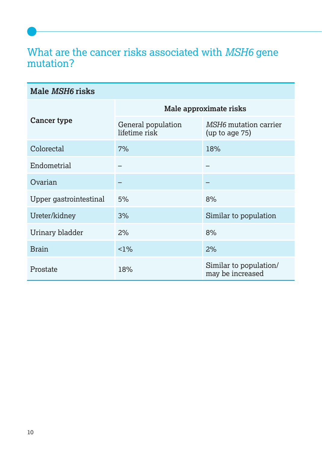# What are the cancer risks associated with *MSH6* gene mutation?

| Male <i>MSH6</i> risks |                                     |                                            |  |
|------------------------|-------------------------------------|--------------------------------------------|--|
| Cancer type            | Male approximate risks              |                                            |  |
|                        | General population<br>lifetime risk | MSH6 mutation carrier<br>(up to age $75$ ) |  |
| Colorectal             | 7%                                  | 18%                                        |  |
| Endometrial            |                                     |                                            |  |
| Ovarian                |                                     |                                            |  |
| Upper gastrointestinal | 5%                                  | 8%                                         |  |
| Ureter/kidney          | 3%                                  | Similar to population                      |  |
| Urinary bladder        | 2%                                  | 8%                                         |  |
| <b>Brain</b>           | $1\%$                               | 2%                                         |  |
| Prostate               | 18%                                 | Similar to population/<br>may be increased |  |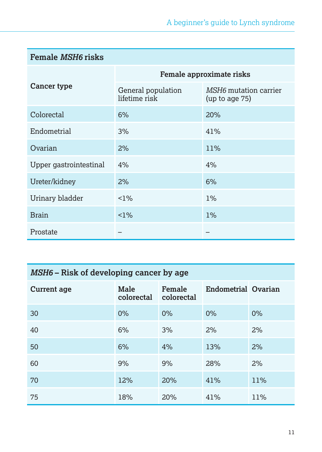| <b>Female MSH6 risks</b> |                                     |                                                |  |
|--------------------------|-------------------------------------|------------------------------------------------|--|
| Cancer type              | Female approximate risks            |                                                |  |
|                          | General population<br>lifetime risk | <i>MSH6</i> mutation carrier<br>(up to age 75) |  |
| Colorectal               | 6%                                  | 20%                                            |  |
| Endometrial              | 3%                                  | 41%                                            |  |
| Ovarian                  | 2%                                  | 11%                                            |  |
| Upper gastrointestinal   | 4%                                  | 4%                                             |  |
| Ureter/kidney            | 2%                                  | 6%                                             |  |
| Urinary bladder          | $1\%$                               | $1\%$                                          |  |
| <b>Brain</b>             | $1\%$                               | $1\%$                                          |  |
| Prostate                 |                                     |                                                |  |

# *MSH6* **– Risk of developing cancer by age**

| <b>Current age</b> | Male<br>colorectal | Female<br>colorectal | <b>Endometrial Ovarian</b> |     |
|--------------------|--------------------|----------------------|----------------------------|-----|
| 30                 | 0%                 | 0%                   | 0%                         | 0%  |
| 40                 | 6%                 | 3%                   | 2%                         | 2%  |
| 50                 | 6%                 | 4%                   | 13%                        | 2%  |
| 60                 | 9%                 | 9%                   | 28%                        | 2%  |
| 70                 | 12%                | 20%                  | 41%                        | 11% |
| 75                 | 18%                | 20%                  | 41%                        | 11% |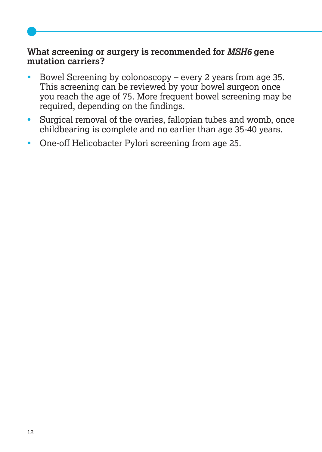#### **What screening or surgery is recommended for** *MSH6* **gene mutation carriers?**

- Bowel Screening by colonoscopy every 2 years from age 35. This screening can be reviewed by your bowel surgeon once you reach the age of 75. More frequent bowel screening may be required, depending on the findings.
- Surgical removal of the ovaries, fallopian tubes and womb, once childbearing is complete and no earlier than age 35-40 years.
- One-off Helicobacter Pylori screening from age 25.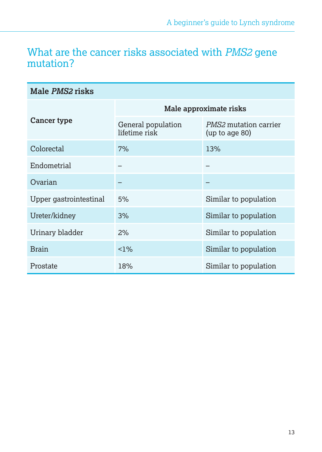# What are the cancer risks associated with *PMS2* gene mutation?

| Male PMS2 risks        |                                     |                                                |  |
|------------------------|-------------------------------------|------------------------------------------------|--|
| <b>Cancer type</b>     | Male approximate risks              |                                                |  |
|                        | General population<br>lifetime risk | <i>PMS2</i> mutation carrier<br>(up to age 80) |  |
| Colorectal             | 7%                                  | 13%                                            |  |
| Endometrial            |                                     |                                                |  |
| Ovarian                |                                     |                                                |  |
| Upper gastrointestinal | 5%                                  | Similar to population                          |  |
| Ureter/kidney          | 3%                                  | Similar to population                          |  |
| Urinary bladder        | 2%                                  | Similar to population                          |  |
| <b>Brain</b>           | $1\%$                               | Similar to population                          |  |
| Prostate               | 18%                                 | Similar to population                          |  |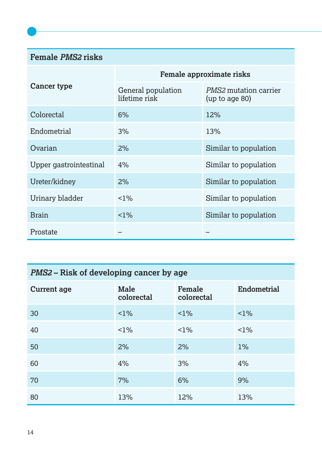#### **Female** *PMS2* **risks**

| <b>Cancer type</b>     | Female approximate risks            |                                                |  |
|------------------------|-------------------------------------|------------------------------------------------|--|
|                        | General population<br>lifetime risk | <i>PMS2</i> mutation carrier<br>(up to age 80) |  |
| Colorectal             | 6%                                  | 12%                                            |  |
| Endometrial            | 3%                                  | 13%                                            |  |
| Ovarian                | 2%                                  | Similar to population                          |  |
| Upper gastrointestinal | 4%                                  | Similar to population                          |  |
| Ureter/kidney          | 2%                                  | Similar to population                          |  |
| Urinary bladder        | $<1\%$                              | Similar to population                          |  |
| <b>Brain</b>           | $1\%$                               | Similar to population                          |  |
| Prostate               |                                     |                                                |  |

# *PMS2* **– Risk of developing cancer by age**

| <b>Current age</b> | Male<br>colorectal | Female<br>colorectal | <b>Endometrial</b> |
|--------------------|--------------------|----------------------|--------------------|
| 30                 | $1\%$              | $1\%$                | $1\%$              |
| 40                 | $1\%$              | $1\%$                | $1\%$              |
| 50                 | 2%                 | 2%                   | 1%                 |
| 60                 | 4%                 | 3%                   | 4%                 |
| 70                 | 7%                 | 6%                   | 9%                 |
| 80                 | 13%                | 12%                  | 13%                |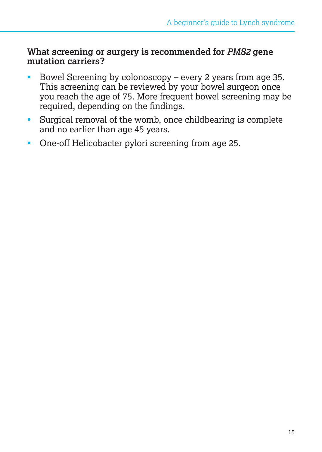#### **What screening or surgery is recommended for** *PMS2* **gene mutation carriers?**

- Bowel Screening by colonoscopy every 2 years from age 35. This screening can be reviewed by your bowel surgeon once you reach the age of 75. More frequent bowel screening may be required, depending on the findings.
- Surgical removal of the womb, once childbearing is complete and no earlier than age 45 years.
- One-off Helicobacter pylori screening from age 25.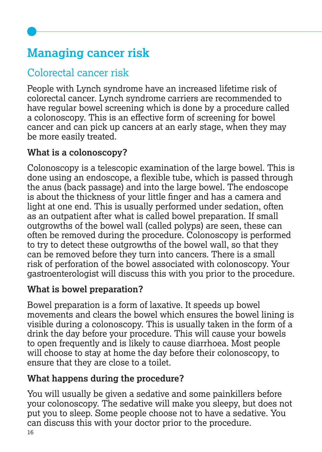# **Managing cancer risk**

# Colorectal cancer risk

People with Lynch syndrome have an increased lifetime risk of colorectal cancer. Lynch syndrome carriers are recommended to have regular bowel screening which is done by a procedure called a colonoscopy. This is an effective form of screening for bowel cancer and can pick up cancers at an early stage, when they may be more easily treated.

# **What is a colonoscopy?**

Colonoscopy is a telescopic examination of the large bowel. This is done using an endoscope, a flexible tube, which is passed through the anus (back passage) and into the large bowel. The endoscope is about the thickness of your little finger and has a camera and light at one end. This is usually performed under sedation, often as an outpatient after what is called bowel preparation. If small outgrowths of the bowel wall (called polyps) are seen, these can often be removed during the procedure. Colonoscopy is performed to try to detect these outgrowths of the bowel wall, so that they can be removed before they turn into cancers. There is a small risk of perforation of the bowel associated with colonoscopy. Your gastroenterologist will discuss this with you prior to the procedure.

# **What is bowel preparation?**

Bowel preparation is a form of laxative. It speeds up bowel movements and clears the bowel which ensures the bowel lining is visible during a colonoscopy. This is usually taken in the form of a drink the day before your procedure. This will cause your bowels to open frequently and is likely to cause diarrhoea. Most people will choose to stay at home the day before their colonoscopy, to ensure that they are close to a toilet.

# **What happens during the procedure?**

16 You will usually be given a sedative and some painkillers before your colonoscopy. The sedative will make you sleepy, but does not put you to sleep. Some people choose not to have a sedative. You can discuss this with your doctor prior to the procedure.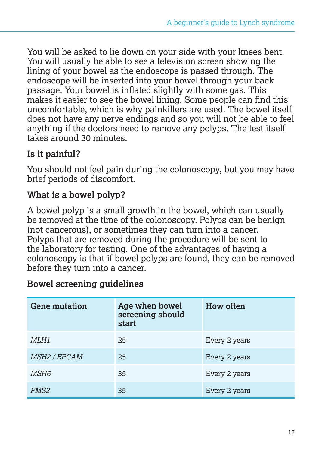You will be asked to lie down on your side with your knees bent. You will usually be able to see a television screen showing the lining of your bowel as the endoscope is passed through. The endoscope will be inserted into your bowel through your back passage. Your bowel is inflated slightly with some gas. This makes it easier to see the bowel lining. Some people can find this uncomfortable, which is why painkillers are used. The bowel itself does not have any nerve endings and so you will not be able to feel anything if the doctors need to remove any polyps. The test itself takes around 30 minutes.

# **Is it painful?**

You should not feel pain during the colonoscopy, but you may have brief periods of discomfort.

## **What is a bowel polyp?**

A bowel polyp is a small growth in the bowel, which can usually be removed at the time of the colonoscopy. Polyps can be benign (not cancerous), or sometimes they can turn into a cancer. Polyps that are removed during the procedure will be sent to the laboratory for testing. One of the advantages of having a colonoscopy is that if bowel polyps are found, they can be removed before they turn into a cancer.

| <b>Bowel screening guidelines</b> |  |
|-----------------------------------|--|
|-----------------------------------|--|

| <b>Gene mutation</b> | Age when bowel<br>screening should<br>start | <b>How often</b> |
|----------------------|---------------------------------------------|------------------|
| MLH1                 | 25                                          | Every 2 years    |
| <i>MSH2 / EPCAM</i>  | 25                                          | Every 2 years    |
| MSH6                 | 35                                          | Every 2 years    |
| PMS <sub>2</sub>     | 35                                          | Every 2 years    |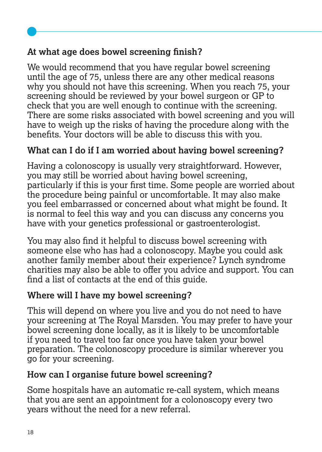# **At what age does bowel screening finish?**

We would recommend that you have regular bowel screening until the age of 75, unless there are any other medical reasons why you should not have this screening. When you reach 75, your screening should be reviewed by your bowel surgeon or GP to check that you are well enough to continue with the screening. There are some risks associated with bowel screening and you will have to weigh up the risks of having the procedure along with the benefits. Your doctors will be able to discuss this with you.

## **What can I do if I am worried about having bowel screening?**

Having a colonoscopy is usually very straightforward. However, you may still be worried about having bowel screening, particularly if this is your first time. Some people are worried about the procedure being painful or uncomfortable. It may also make you feel embarrassed or concerned about what might be found. It is normal to feel this way and you can discuss any concerns you have with your genetics professional or gastroenterologist.

You may also find it helpful to discuss bowel screening with someone else who has had a colonoscopy. Maybe you could ask another family member about their experience? Lynch syndrome charities may also be able to offer you advice and support. You can find a list of contacts at the end of this guide.

#### **Where will I have my bowel screening?**

This will depend on where you live and you do not need to have your screening at The Royal Marsden. You may prefer to have your bowel screening done locally, as it is likely to be uncomfortable if you need to travel too far once you have taken your bowel preparation. The colonoscopy procedure is similar wherever you go for your screening.

# **How can I organise future bowel screening?**

Some hospitals have an automatic re-call system, which means that you are sent an appointment for a colonoscopy every two years without the need for a new referral.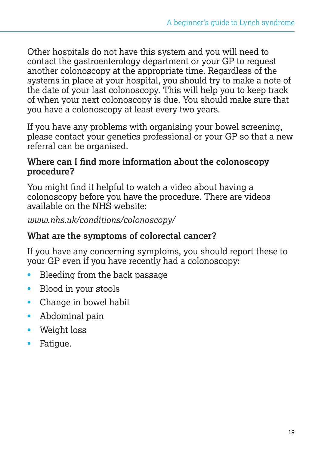Other hospitals do not have this system and you will need to contact the gastroenterology department or your GP to request another colonoscopy at the appropriate time. Regardless of the systems in place at your hospital, you should try to make a note of the date of your last colonoscopy. This will help you to keep track of when your next colonoscopy is due. You should make sure that you have a colonoscopy at least every two years.

If you have any problems with organising your bowel screening, please contact your genetics professional or your GP so that a new referral can be organised.

#### **Where can I find more information about the colonoscopy procedure?**

You might find it helpful to watch a video about having a colonoscopy before you have the procedure. There are videos available on the NHS website:

*www.nhs.uk/conditions/colonoscopy/*

#### **What are the symptoms of colorectal cancer?**

If you have any concerning symptoms, you should report these to your GP even if you have recently had a colonoscopy:

- Bleeding from the back passage
- Blood in your stools
- Change in bowel habit
- Abdominal pain
- Weight loss
- Fatique.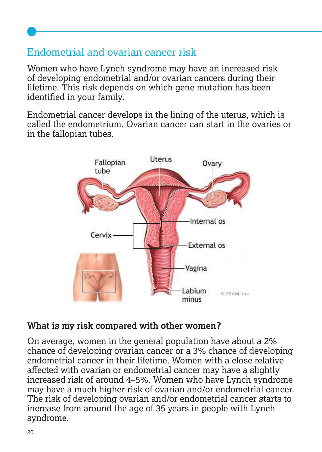# Endometrial and ovarian cancer risk

Women who have Lynch syndrome may have an increased risk of developing endometrial and/or ovarian cancers during their lifetime. This risk depends on which gene mutation has been identified in your family.

Endometrial cancer develops in the lining of the uterus, which is called the endometrium. Ovarian cancer can start in the ovaries or in the fallopian tubes.



#### **What is my risk compared with other women?**

On average, women in the general population have about a 2% chance of developing ovarian cancer or a 3% chance of developing endometrial cancer in their lifetime. Women with a close relative affected with ovarian or endometrial cancer may have a slightly increased risk of around 4–5%. Women who have Lynch syndrome may have a much higher risk of ovarian and/or endometrial cancer. The risk of developing ovarian and/or endometrial cancer starts to increase from around the age of 35 years in people with Lynch syndrome.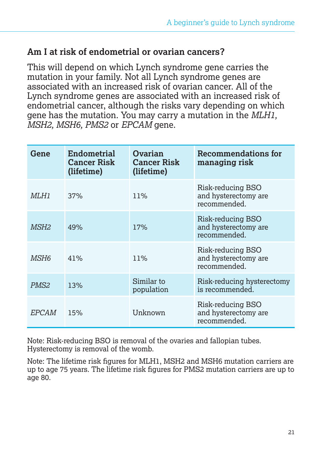#### **Am I at risk of endometrial or ovarian cancers?**

This will depend on which Lynch syndrome gene carries the mutation in your family. Not all Lynch syndrome genes are associated with an increased risk of ovarian cancer. All of the Lynch syndrome genes are associated with an increased risk of endometrial cancer, although the risks vary depending on which gene has the mutation. You may carry a mutation in the *MLH1, MSH2, MSH6, PMS2* or *EPCAM* gene.

| Gene             | Endometrial<br><b>Cancer Risk</b><br>(lifetime) | Ovarian<br><b>Cancer Risk</b><br>(lifetime) | <b>Recommendations for</b><br>managing risk               |
|------------------|-------------------------------------------------|---------------------------------------------|-----------------------------------------------------------|
| MLH1             | 37%                                             | 11%                                         | Risk-reducing BSO<br>and hysterectomy are<br>recommended. |
| <i>MSH2</i>      | 49%                                             | 17%                                         | Risk-reducing BSO<br>and hysterectomy are<br>recommended. |
| MSH6             | 41%                                             | 11%                                         | Risk-reducing BSO<br>and hysterectomy are<br>recommended. |
| PMS <sub>2</sub> | 13%                                             | Similar to<br>population                    | Risk-reducing hysterectomy<br>is recommended.             |
| EPCAM            | 15%                                             | Unknown                                     | Risk-reducing BSO<br>and hysterectomy are<br>recommended. |

Note: Risk-reducing BSO is removal of the ovaries and fallopian tubes. Hysterectomy is removal of the womb.

Note: The lifetime risk figures for MLH1, MSH2 and MSH6 mutation carriers are up to age 75 years. The lifetime risk figures for PMS2 mutation carriers are up to age 80.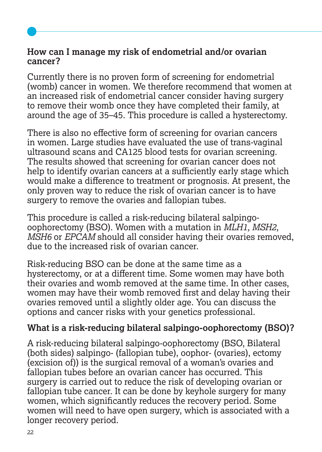#### **How can I manage my risk of endometrial and/or ovarian cancer?**

Currently there is no proven form of screening for endometrial (womb) cancer in women. We therefore recommend that women at an increased risk of endometrial cancer consider having surgery to remove their womb once they have completed their family, at around the age of 35–45. This procedure is called a hysterectomy.

There is also no effective form of screening for ovarian cancers in women. Large studies have evaluated the use of trans-vaginal ultrasound scans and CA125 blood tests for ovarian screening. The results showed that screening for ovarian cancer does not help to identify ovarian cancers at a sufficiently early stage which would make a difference to treatment or prognosis. At present, the only proven way to reduce the risk of ovarian cancer is to have surgery to remove the ovaries and fallopian tubes.

This procedure is called a risk-reducing bilateral salpingooophorectomy (BSO). Women with a mutation in *MLH1, MSH2, MSH6* or *EPCAM* should all consider having their ovaries removed, due to the increased risk of ovarian cancer.

Risk-reducing BSO can be done at the same time as a hysterectomy, or at a different time. Some women may have both their ovaries and womb removed at the same time. In other cases, women may have their womb removed first and delay having their ovaries removed until a slightly older age. You can discuss the options and cancer risks with your genetics professional.

#### **What is a risk-reducing bilateral salpingo-oophorectomy (BSO)?**

A risk-reducing bilateral salpingo-oophorectomy (BSO, Bilateral (both sides) salpingo- (fallopian tube), oophor- (ovaries), ectomy (excision of)) is the surgical removal of a woman's ovaries and fallopian tubes before an ovarian cancer has occurred. This surgery is carried out to reduce the risk of developing ovarian or fallopian tube cancer. It can be done by keyhole surgery for many women, which significantly reduces the recovery period. Some women will need to have open surgery, which is associated with a longer recovery period.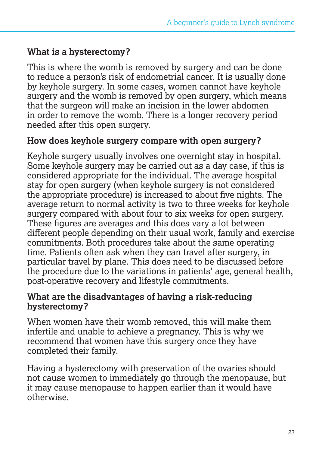### **What is a hysterectomy?**

This is where the womb is removed by surgery and can be done to reduce a person's risk of endometrial cancer. It is usually done by keyhole surgery. In some cases, women cannot have keyhole surgery and the womb is removed by open surgery, which means that the surgeon will make an incision in the lower abdomen in order to remove the womb. There is a longer recovery period needed after this open surgery.

#### **How does keyhole surgery compare with open surgery?**

Keyhole surgery usually involves one overnight stay in hospital. Some keyhole surgery may be carried out as a day case, if this is considered appropriate for the individual. The average hospital stay for open surgery (when keyhole surgery is not considered the appropriate procedure) is increased to about five nights. The average return to normal activity is two to three weeks for keyhole surgery compared with about four to six weeks for open surgery. These figures are averages and this does vary a lot between different people depending on their usual work, family and exercise commitments. Both procedures take about the same operating time. Patients often ask when they can travel after surgery, in particular travel by plane. This does need to be discussed before the procedure due to the variations in patients' age, general health, post-operative recovery and lifestyle commitments.

#### **What are the disadvantages of having a risk-reducing hysterectomy?**

When women have their womb removed, this will make them infertile and unable to achieve a pregnancy. This is why we recommend that women have this surgery once they have completed their family.

Having a hysterectomy with preservation of the ovaries should not cause women to immediately go through the menopause, but it may cause menopause to happen earlier than it would have otherwise.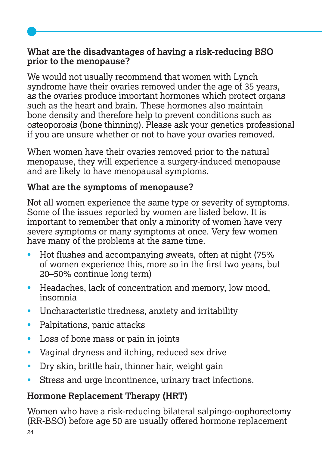#### **What are the disadvantages of having a risk-reducing BSO prior to the menopause?**

We would not usually recommend that women with Lynch syndrome have their ovaries removed under the age of 35 years, as the ovaries produce important hormones which protect organs such as the heart and brain. These hormones also maintain bone density and therefore help to prevent conditions such as osteoporosis (bone thinning). Please ask your genetics professional if you are unsure whether or not to have your ovaries removed.

When women have their ovaries removed prior to the natural menopause, they will experience a surgery-induced menopause and are likely to have menopausal symptoms.

# **What are the symptoms of menopause?**

Not all women experience the same type or severity of symptoms. Some of the issues reported by women are listed below. It is important to remember that only a minority of women have very severe symptoms or many symptoms at once. Very few women have many of the problems at the same time.

- Hot flushes and accompanying sweats, often at night (75% of women experience this, more so in the first two years, but 20–50% continue long term)
- Headaches, lack of concentration and memory, low mood, insomnia
- Uncharacteristic tiredness, anxiety and irritability
- Palpitations, panic attacks
- Loss of bone mass or pain in joints
- Vaginal dryness and itching, reduced sex drive
- Dry skin, brittle hair, thinner hair, weight gain
- Stress and urge incontinence, urinary tract infections.

# **Hormone Replacement Therapy (HRT)**

24 Women who have a risk-reducing bilateral salpingo-oophorectomy (RR-BSO) before age 50 are usually offered hormone replacement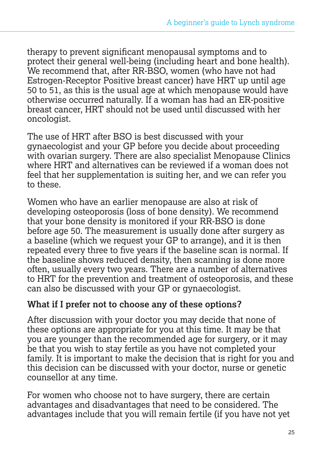therapy to prevent significant menopausal symptoms and to protect their general well-being (including heart and bone health). We recommend that, after RR-BSO, women (who have not had Estrogen-Receptor Positive breast cancer) have HRT up until age 50 to 51, as this is the usual age at which menopause would have otherwise occurred naturally. If a woman has had an ER-positive breast cancer, HRT should not be used until discussed with her oncologist.

The use of HRT after BSO is best discussed with your gynaecologist and your GP before you decide about proceeding with ovarian surgery. There are also specialist Menopause Clinics where HRT and alternatives can be reviewed if a woman does not feel that her supplementation is suiting her, and we can refer you to these.

Women who have an earlier menopause are also at risk of developing osteoporosis (loss of bone density). We recommend that your bone density is monitored if your RR-BSO is done before age 50. The measurement is usually done after surgery as a baseline (which we request your GP to arrange), and it is then repeated every three to five years if the baseline scan is normal. If the baseline shows reduced density, then scanning is done more often, usually every two years. There are a number of alternatives to HRT for the prevention and treatment of osteoporosis, and these can also be discussed with your GP or gynaecologist.

#### **What if I prefer not to choose any of these options?**

After discussion with your doctor you may decide that none of these options are appropriate for you at this time. It may be that you are younger than the recommended age for surgery, or it may be that you wish to stay fertile as you have not completed your family. It is important to make the decision that is right for you and this decision can be discussed with your doctor, nurse or genetic counsellor at any time.

For women who choose not to have surgery, there are certain advantages and disadvantages that need to be considered. The advantages include that you will remain fertile (if you have not yet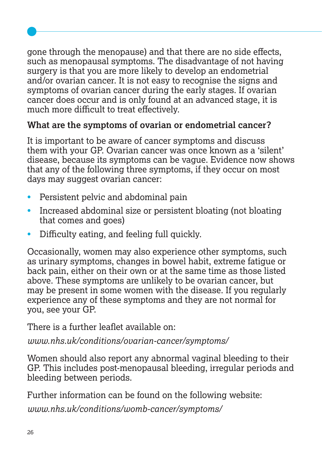gone through the menopause) and that there are no side effects, such as menopausal symptoms. The disadvantage of not having surgery is that you are more likely to develop an endometrial and/or ovarian cancer. It is not easy to recognise the signs and symptoms of ovarian cancer during the early stages. If ovarian cancer does occur and is only found at an advanced stage, it is much more difficult to treat effectively.

# **What are the symptoms of ovarian or endometrial cancer?**

It is important to be aware of cancer symptoms and discuss them with your GP. Ovarian cancer was once known as a 'silent' disease, because its symptoms can be vague. Evidence now shows that any of the following three symptoms, if they occur on most days may suggest ovarian cancer:

- Persistent pelvic and abdominal pain
- Increased abdominal size or persistent bloating (not bloating that comes and goes)
- Difficulty eating, and feeling full quickly.

Occasionally, women may also experience other symptoms, such as urinary symptoms, changes in bowel habit, extreme fatigue or back pain, either on their own or at the same time as those listed above. These symptoms are unlikely to be ovarian cancer, but may be present in some women with the disease. If you regularly experience any of these symptoms and they are not normal for you, see your GP.

There is a further leaflet available on:

*www.nhs.uk/conditions/ovarian-cancer/symptoms/*

Women should also report any abnormal vaginal bleeding to their GP. This includes post-menopausal bleeding, irregular periods and bleeding between periods.

Further information can be found on the following website:

*www.nhs.uk/conditions/womb-cancer/symptoms/*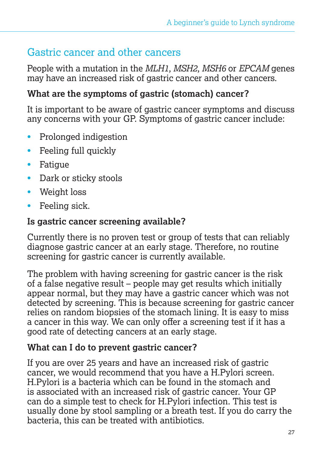# Gastric cancer and other cancers

People with a mutation in the *MLH1, MSH2, MSH6* or *EPCAM* genes may have an increased risk of gastric cancer and other cancers.

## **What are the symptoms of gastric (stomach) cancer?**

It is important to be aware of gastric cancer symptoms and discuss any concerns with your GP. Symptoms of gastric cancer include:

- Prolonged indigestion
- Feeling full quickly
- Fatigue
- Dark or sticky stools
- Weight loss
- Feeling sick.

#### **Is gastric cancer screening available?**

Currently there is no proven test or group of tests that can reliably diagnose gastric cancer at an early stage. Therefore, no routine screening for gastric cancer is currently available.

The problem with having screening for gastric cancer is the risk of a false negative result – people may get results which initially appear normal, but they may have a gastric cancer which was not detected by screening. This is because screening for gastric cancer relies on random biopsies of the stomach lining. It is easy to miss a cancer in this way. We can only offer a screening test if it has a good rate of detecting cancers at an early stage.

#### **What can I do to prevent gastric cancer?**

If you are over 25 years and have an increased risk of gastric cancer, we would recommend that you have a H.Pylori screen. H.Pylori is a bacteria which can be found in the stomach and is associated with an increased risk of gastric cancer. Your GP can do a simple test to check for H.Pylori infection. This test is usually done by stool sampling or a breath test. If you do carry the bacteria, this can be treated with antibiotics.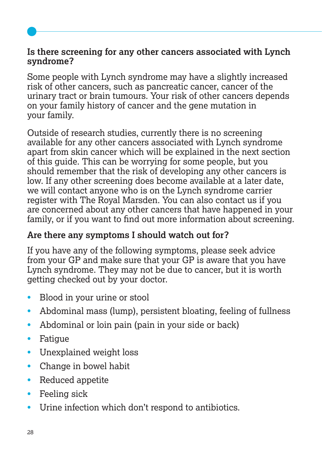#### **Is there screening for any other cancers associated with Lynch syndrome?**

Some people with Lynch syndrome may have a slightly increased risk of other cancers, such as pancreatic cancer, cancer of the urinary tract or brain tumours. Your risk of other cancers depends on your family history of cancer and the gene mutation in your family.

Outside of research studies, currently there is no screening available for any other cancers associated with Lynch syndrome apart from skin cancer which will be explained in the next section of this guide. This can be worrying for some people, but you should remember that the risk of developing any other cancers is low. If any other screening does become available at a later date, we will contact anyone who is on the Lynch syndrome carrier register with The Royal Marsden. You can also contact us if you are concerned about any other cancers that have happened in your family, or if you want to find out more information about screening.

#### **Are there any symptoms I should watch out for?**

If you have any of the following symptoms, please seek advice from your GP and make sure that your GP is aware that you have Lynch syndrome. They may not be due to cancer, but it is worth getting checked out by your doctor.

- Blood in your urine or stool
- Abdominal mass (lump), persistent bloating, feeling of fullness
- Abdominal or loin pain (pain in your side or back)
- Fatigue
- Unexplained weight loss
- Change in bowel habit
- Reduced appetite
- Feeling sick
- Urine infection which don't respond to antibiotics.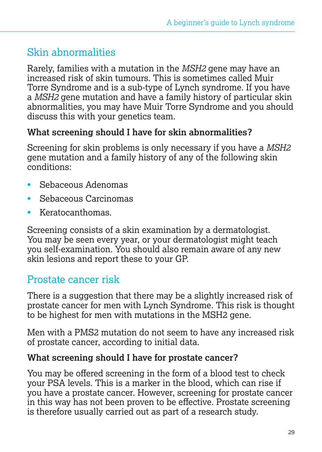# Skin abnormalities

Rarely, families with a mutation in the *MSH2* gene may have an increased risk of skin tumours. This is sometimes called Muir Torre Syndrome and is a sub-type of Lynch syndrome. If you have a *MSH2* gene mutation and have a family history of particular skin abnormalities, you may have Muir Torre Syndrome and you should discuss this with your genetics team.

#### **What screening should I have for skin abnormalities?**

Screening for skin problems is only necessary if you have a *MSH2* gene mutation and a family history of any of the following skin conditions:

- Sebaceous Adenomas
- Sebaceous Carcinomas
- Keratocanthomas.

Screening consists of a skin examination by a dermatologist. You may be seen every year, or your dermatologist might teach you self-examination. You should also remain aware of any new skin lesions and report these to your GP.

# Prostate cancer risk

There is a suggestion that there may be a slightly increased risk of prostate cancer for men with Lynch Syndrome. This risk is thought to be highest for men with mutations in the MSH2 gene.

Men with a PMS2 mutation do not seem to have any increased risk of prostate cancer, according to initial data.

#### **What screening should I have for prostate cancer?**

You may be offered screening in the form of a blood test to check your PSA levels. This is a marker in the blood, which can rise if you have a prostate cancer. However, screening for prostate cancer in this way has not been proven to be effective. Prostate screening is therefore usually carried out as part of a research study.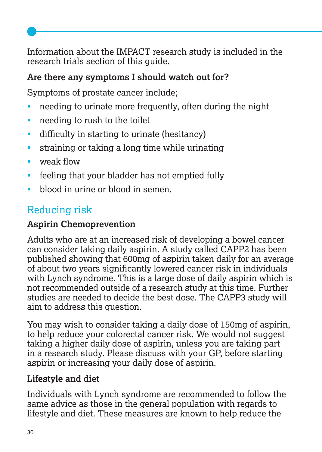Information about the IMPACT research study is included in the research trials section of this guide.

# **Are there any symptoms I should watch out for?**

Symptoms of prostate cancer include;

- needing to urinate more frequently, often during the night
- needing to rush to the toilet
- difficulty in starting to urinate (hesitancy)
- straining or taking a long time while urinating
- weak flow
- feeling that your bladder has not emptied fully
- blood in urine or blood in semen.

# Reducing risk

# **Aspirin Chemoprevention**

Adults who are at an increased risk of developing a bowel cancer can consider taking daily aspirin. A study called CAPP2 has been published showing that 600mg of aspirin taken daily for an average of about two years significantly lowered cancer risk in individuals with Lynch syndrome. This is a large dose of daily aspirin which is not recommended outside of a research study at this time. Further studies are needed to decide the best dose. The CAPP3 study will aim to address this question.

You may wish to consider taking a daily dose of 150mg of aspirin, to help reduce your colorectal cancer risk. We would not suggest taking a higher daily dose of aspirin, unless you are taking part in a research study. Please discuss with your GP, before starting aspirin or increasing your daily dose of aspirin.

# **Lifestyle and diet**

Individuals with Lynch syndrome are recommended to follow the same advice as those in the general population with regards to lifestyle and diet. These measures are known to help reduce the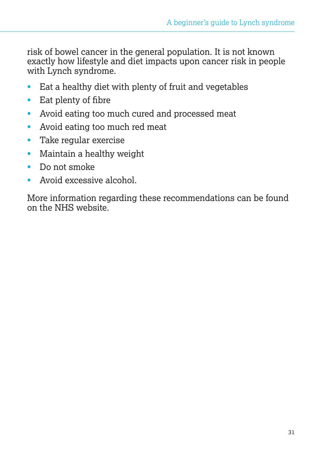risk of bowel cancer in the general population. It is not known exactly how lifestyle and diet impacts upon cancer risk in people with Lynch syndrome.

- Eat a healthy diet with plenty of fruit and vegetables
- Eat plenty of fibre
- Avoid eating too much cured and processed meat
- Avoid eating too much red meat
- Take regular exercise
- Maintain a healthy weight
- Do not smoke
- Avoid excessive alcohol.

More information regarding these recommendations can be found on the NHS website.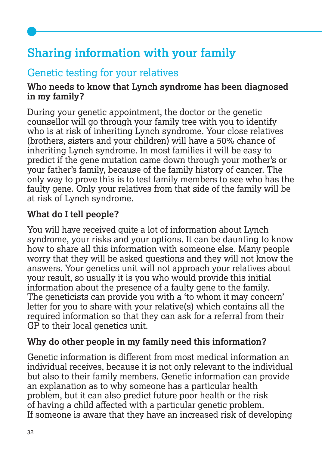# **Sharing information with your family**

# Genetic testing for your relatives

#### **Who needs to know that Lynch syndrome has been diagnosed in my family?**

During your genetic appointment, the doctor or the genetic counsellor will go through your family tree with you to identify who is at risk of inheriting Lynch syndrome. Your close relatives (brothers, sisters and your children) will have a 50% chance of inheriting Lynch syndrome. In most families it will be easy to predict if the gene mutation came down through your mother's or your father's family, because of the family history of cancer. The only way to prove this is to test family members to see who has the faulty gene. Only your relatives from that side of the family will be at risk of Lynch syndrome.

# **What do I tell people?**

You will have received quite a lot of information about Lynch syndrome, your risks and your options. It can be daunting to know how to share all this information with someone else. Many people worry that they will be asked questions and they will not know the answers. Your genetics unit will not approach your relatives about your result, so usually it is you who would provide this initial information about the presence of a faulty gene to the family. The geneticists can provide you with a 'to whom it may concern' letter for you to share with your relative(s) which contains all the required information so that they can ask for a referral from their GP to their local genetics unit.

# **Why do other people in my family need this information?**

Genetic information is different from most medical information an individual receives, because it is not only relevant to the individual but also to their family members. Genetic information can provide an explanation as to why someone has a particular health problem, but it can also predict future poor health or the risk of having a child affected with a particular genetic problem. If someone is aware that they have an increased risk of developing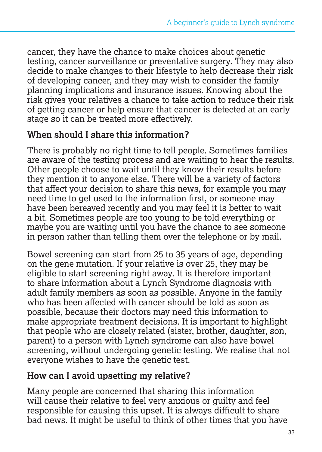cancer, they have the chance to make choices about genetic testing, cancer surveillance or preventative surgery. They may also decide to make changes to their lifestyle to help decrease their risk of developing cancer, and they may wish to consider the family planning implications and insurance issues. Knowing about the risk gives your relatives a chance to take action to reduce their risk of getting cancer or help ensure that cancer is detected at an early stage so it can be treated more effectively.

#### **When should I share this information?**

There is probably no right time to tell people. Sometimes families are aware of the testing process and are waiting to hear the results. Other people choose to wait until they know their results before they mention it to anyone else. There will be a variety of factors that affect your decision to share this news, for example you may need time to get used to the information first, or someone may have been bereaved recently and you may feel it is better to wait a bit. Sometimes people are too young to be told everything or maybe you are waiting until you have the chance to see someone in person rather than telling them over the telephone or by mail.

Bowel screening can start from 25 to 35 years of age, depending on the gene mutation. If your relative is over 25, they may be eligible to start screening right away. It is therefore important to share information about a Lynch Syndrome diagnosis with adult family members as soon as possible. Anyone in the family who has been affected with cancer should be told as soon as possible, because their doctors may need this information to make appropriate treatment decisions. It is important to highlight that people who are closely related (sister, brother, daughter, son, parent) to a person with Lynch syndrome can also have bowel screening, without undergoing genetic testing. We realise that not everyone wishes to have the genetic test.

#### **How can I avoid upsetting my relative?**

Many people are concerned that sharing this information will cause their relative to feel very anxious or guilty and feel responsible for causing this upset. It is always difficult to share bad news. It might be useful to think of other times that you have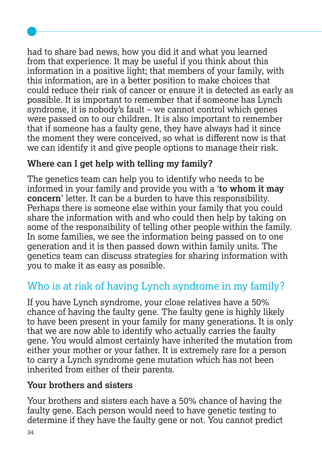had to share bad news, how you did it and what you learned from that experience. It may be useful if you think about this information in a positive light; that members of your family, with this information, are in a better position to make choices that could reduce their risk of cancer or ensure it is detected as early as possible. It is important to remember that if someone has Lynch syndrome, it is nobody's fault – we cannot control which genes were passed on to our children. It is also important to remember that if someone has a faulty gene, they have always had it since the moment they were conceived, so what is different now is that we can identify it and give people options to manage their risk.

# **Where can I get help with telling my family?**

The genetics team can help you to identify who needs to be informed in your family and provide you with a '**to whom it may concern**' letter. It can be a burden to have this responsibility. Perhaps there is someone else within your family that you could share the information with and who could then help by taking on some of the responsibility of telling other people within the family. In some families, we see the information being passed on to one generation and it is then passed down within family units. The genetics team can discuss strategies for sharing information with you to make it as easy as possible.

# Who is at risk of having Lynch syndrome in my family?

If you have Lynch syndrome, your close relatives have a 50% chance of having the faulty gene. The faulty gene is highly likely to have been present in your family for many generations. It is only that we are now able to identify who actually carries the faulty gene. You would almost certainly have inherited the mutation from either your mother or your father. It is extremely rare for a person to carry a Lynch syndrome gene mutation which has not been inherited from either of their parents.

# **Your brothers and sisters**

Your brothers and sisters each have a 50% chance of having the faulty gene. Each person would need to have genetic testing to determine if they have the faulty gene or not. You cannot predict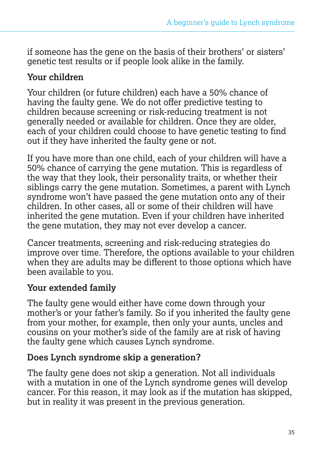if someone has the gene on the basis of their brothers' or sisters' genetic test results or if people look alike in the family.

#### **Your children**

Your children (or future children) each have a 50% chance of having the faulty gene. We do not offer predictive testing to children because screening or risk-reducing treatment is not generally needed or available for children. Once they are older, each of your children could choose to have genetic testing to find out if they have inherited the faulty gene or not.

If you have more than one child, each of your children will have a 50% chance of carrying the gene mutation. This is regardless of the way that they look, their personality traits, or whether their siblings carry the gene mutation. Sometimes, a parent with Lynch syndrome won't have passed the gene mutation onto any of their children. In other cases, all or some of their children will have inherited the gene mutation. Even if your children have inherited the gene mutation, they may not ever develop a cancer.

Cancer treatments, screening and risk-reducing strategies do improve over time. Therefore, the options available to your children when they are adults may be different to those options which have been available to you.

# **Your extended family**

The faulty gene would either have come down through your mother's or your father's family. So if you inherited the faulty gene from your mother, for example, then only your aunts, uncles and cousins on your mother's side of the family are at risk of having the faulty gene which causes Lynch syndrome.

# **Does Lynch syndrome skip a generation?**

The faulty gene does not skip a generation. Not all individuals with a mutation in one of the Lynch syndrome genes will develop cancer. For this reason, it may look as if the mutation has skipped, but in reality it was present in the previous generation.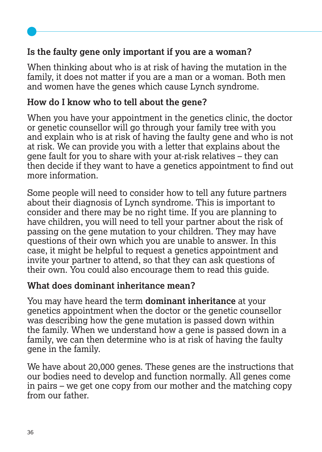## **Is the faulty gene only important if you are a woman?**

When thinking about who is at risk of having the mutation in the family, it does not matter if you are a man or a woman. Both men and women have the genes which cause Lynch syndrome.

#### **How do I know who to tell about the gene?**

When you have your appointment in the genetics clinic, the doctor or genetic counsellor will go through your family tree with you and explain who is at risk of having the faulty gene and who is not at risk. We can provide you with a letter that explains about the gene fault for you to share with your at-risk relatives – they can then decide if they want to have a genetics appointment to find out more information.

Some people will need to consider how to tell any future partners about their diagnosis of Lynch syndrome. This is important to consider and there may be no right time. If you are planning to have children, you will need to tell your partner about the risk of passing on the gene mutation to your children. They may have questions of their own which you are unable to answer. In this case, it might be helpful to request a genetics appointment and invite your partner to attend, so that they can ask questions of their own. You could also encourage them to read this guide.

#### **What does dominant inheritance mean?**

You may have heard the term **dominant inheritance** at your genetics appointment when the doctor or the genetic counsellor was describing how the gene mutation is passed down within the family. When we understand how a gene is passed down in a family, we can then determine who is at risk of having the faulty gene in the family.

We have about 20,000 genes. These genes are the instructions that our bodies need to develop and function normally. All genes come in pairs – we get one copy from our mother and the matching copy from our father.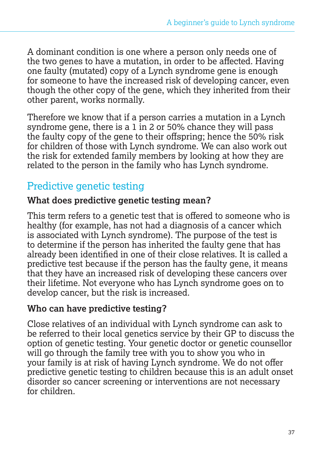A dominant condition is one where a person only needs one of the two genes to have a mutation, in order to be affected. Having one faulty (mutated) copy of a Lynch syndrome gene is enough for someone to have the increased risk of developing cancer, even though the other copy of the gene, which they inherited from their other parent, works normally.

Therefore we know that if a person carries a mutation in a Lynch syndrome gene, there is a 1 in 2 or 50% chance they will pass the faulty copy of the gene to their offspring; hence the 50% risk for children of those with Lynch syndrome. We can also work out the risk for extended family members by looking at how they are related to the person in the family who has Lynch syndrome.

# Predictive genetic testing

#### **What does predictive genetic testing mean?**

This term refers to a genetic test that is offered to someone who is healthy (for example, has not had a diagnosis of a cancer which is associated with Lynch syndrome). The purpose of the test is to determine if the person has inherited the faulty gene that has already been identified in one of their close relatives. It is called a predictive test because if the person has the faulty gene, it means that they have an increased risk of developing these cancers over their lifetime. Not everyone who has Lynch syndrome goes on to develop cancer, but the risk is increased.

#### **Who can have predictive testing?**

Close relatives of an individual with Lynch syndrome can ask to be referred to their local genetics service by their GP to discuss the option of genetic testing. Your genetic doctor or genetic counsellor will go through the family tree with you to show you who in your family is at risk of having Lynch syndrome. We do not offer predictive genetic testing to children because this is an adult onset disorder so cancer screening or interventions are not necessary for children.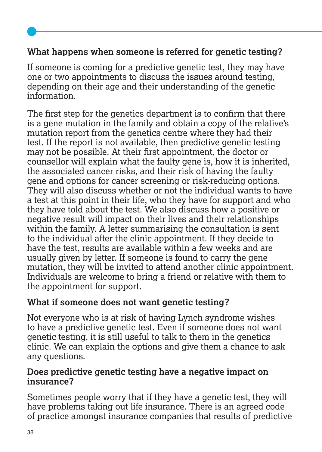## **What happens when someone is referred for genetic testing?**

If someone is coming for a predictive genetic test, they may have one or two appointments to discuss the issues around testing, depending on their age and their understanding of the genetic information.

The first step for the genetics department is to confirm that there is a gene mutation in the family and obtain a copy of the relative's mutation report from the genetics centre where they had their test. If the report is not available, then predictive genetic testing may not be possible. At their first appointment, the doctor or counsellor will explain what the faulty gene is, how it is inherited, the associated cancer risks, and their risk of having the faulty gene and options for cancer screening or risk-reducing options. They will also discuss whether or not the individual wants to have a test at this point in their life, who they have for support and who they have told about the test. We also discuss how a positive or negative result will impact on their lives and their relationships within the family. A letter summarising the consultation is sent to the individual after the clinic appointment. If they decide to have the test, results are available within a few weeks and are usually given by letter. If someone is found to carry the gene mutation, they will be invited to attend another clinic appointment. Individuals are welcome to bring a friend or relative with them to the appointment for support.

#### **What if someone does not want genetic testing?**

Not everyone who is at risk of having Lynch syndrome wishes to have a predictive genetic test. Even if someone does not want genetic testing, it is still useful to talk to them in the genetics clinic. We can explain the options and give them a chance to ask any questions.

#### **Does predictive genetic testing have a negative impact on insurance?**

Sometimes people worry that if they have a genetic test, they will have problems taking out life insurance. There is an agreed code of practice amongst insurance companies that results of predictive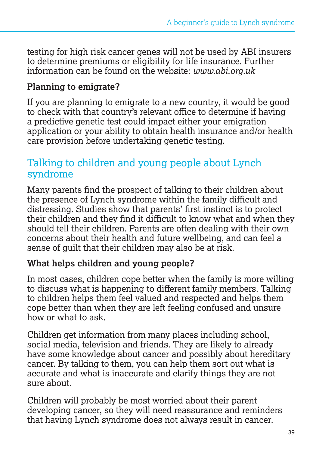testing for high risk cancer genes will not be used by ABI insurers to determine premiums or eligibility for life insurance. Further information can be found on the website: *www.abi.org.uk*

#### **Planning to emigrate?**

If you are planning to emigrate to a new country, it would be good to check with that country's relevant office to determine if having a predictive genetic test could impact either your emigration application or your ability to obtain health insurance and/or health care provision before undertaking genetic testing.

# Talking to children and young people about Lynch syndrome

Many parents find the prospect of talking to their children about the presence of Lynch syndrome within the family difficult and distressing. Studies show that parents' first instinct is to protect their children and they find it difficult to know what and when they should tell their children. Parents are often dealing with their own concerns about their health and future wellbeing, and can feel a sense of guilt that their children may also be at risk.

#### **What helps children and young people?**

In most cases, children cope better when the family is more willing to discuss what is happening to different family members. Talking to children helps them feel valued and respected and helps them cope better than when they are left feeling confused and unsure how or what to ask.

Children get information from many places including school, social media, television and friends. They are likely to already have some knowledge about cancer and possibly about hereditary cancer. By talking to them, you can help them sort out what is accurate and what is inaccurate and clarify things they are not sure about.

Children will probably be most worried about their parent developing cancer, so they will need reassurance and reminders that having Lynch syndrome does not always result in cancer.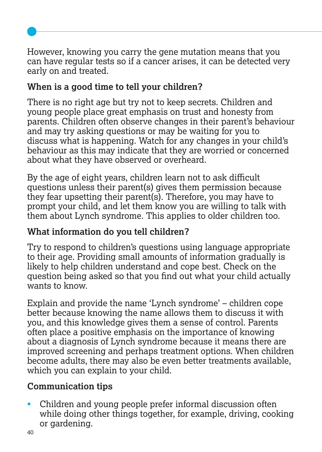However, knowing you carry the gene mutation means that you can have regular tests so if a cancer arises, it can be detected very early on and treated.

# **When is a good time to tell your children?**

There is no right age but try not to keep secrets. Children and young people place great emphasis on trust and honesty from parents. Children often observe changes in their parent's behaviour and may try asking questions or may be waiting for you to discuss what is happening. Watch for any changes in your child's behaviour as this may indicate that they are worried or concerned about what they have observed or overheard.

By the age of eight years, children learn not to ask difficult questions unless their parent(s) gives them permission because they fear upsetting their parent(s). Therefore, you may have to prompt your child, and let them know you are willing to talk with them about Lynch syndrome. This applies to older children too.

# **What information do you tell children?**

Try to respond to children's questions using language appropriate to their age. Providing small amounts of information gradually is likely to help children understand and cope best. Check on the question being asked so that you find out what your child actually wants to know.

Explain and provide the name 'Lynch syndrome' – children cope better because knowing the name allows them to discuss it with you, and this knowledge gives them a sense of control. Parents often place a positive emphasis on the importance of knowing about a diagnosis of Lynch syndrome because it means there are improved screening and perhaps treatment options. When children become adults, there may also be even better treatments available, which you can explain to your child.

# **Communication tips**

• Children and young people prefer informal discussion often while doing other things together, for example, driving, cooking or gardening.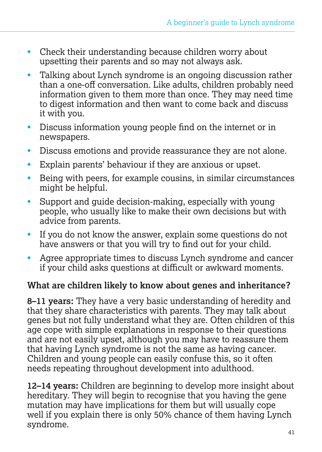- Check their understanding because children worry about upsetting their parents and so may not always ask.
- Talking about Lynch syndrome is an ongoing discussion rather than a one-off conversation. Like adults, children probably need information given to them more than once. They may need time to digest information and then want to come back and discuss it with you.
- Discuss information young people find on the internet or in newspapers.
- Discuss emotions and provide reassurance they are not alone.
- Explain parents' behaviour if they are anxious or upset.
- Being with peers, for example cousins, in similar circumstances might be helpful.
- Support and quide decision-making, especially with young people, who usually like to make their own decisions but with advice from parents.
- If you do not know the answer, explain some questions do not have answers or that you will try to find out for your child.
- Agree appropriate times to discuss Lynch syndrome and cancer if your child asks questions at difficult or awkward moments.

#### **What are children likely to know about genes and inheritance?**

**8–11 years:** They have a very basic understanding of heredity and that they share characteristics with parents. They may talk about genes but not fully understand what they are. Often children of this age cope with simple explanations in response to their questions and are not easily upset, although you may have to reassure them that having Lynch syndrome is not the same as having cancer. Children and young people can easily confuse this, so it often needs repeating throughout development into adulthood.

**12–14 years:** Children are beginning to develop more insight about hereditary. They will begin to recognise that you having the gene mutation may have implications for them but will usually cope well if you explain there is only 50% chance of them having Lynch syndrome.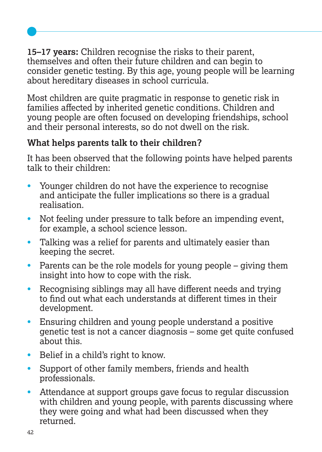**15–17 years:** Children recognise the risks to their parent, themselves and often their future children and can begin to consider genetic testing. By this age, young people will be learning about hereditary diseases in school curricula.

Most children are quite pragmatic in response to genetic risk in families affected by inherited genetic conditions. Children and young people are often focused on developing friendships, school and their personal interests, so do not dwell on the risk.

# **What helps parents talk to their children?**

It has been observed that the following points have helped parents talk to their children:

- Younger children do not have the experience to recognise and anticipate the fuller implications so there is a gradual realisation.
- Not feeling under pressure to talk before an impending event, for example, a school science lesson.
- Talking was a relief for parents and ultimately easier than keeping the secret.
- Parents can be the role models for young people giving them insight into how to cope with the risk.
- Recognising siblings may all have different needs and trying to find out what each understands at different times in their development.
- Ensuring children and young people understand a positive genetic test is not a cancer diagnosis – some get quite confused about this.
- Belief in a child's right to know.
- Support of other family members, friends and health professionals.
- Attendance at support groups gave focus to regular discussion with children and young people, with parents discussing where they were going and what had been discussed when they returned.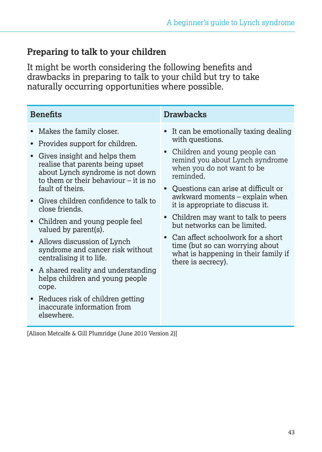#### **Preparing to talk to your children**

It might be worth considering the following benefits and drawbacks in preparing to talk to your child but try to take naturally occurring opportunities where possible.

| <b>Benefits</b>                                                                                                                                                                                                                                                                                                                                                                                                                                                                                                                                                                                                                                    | <b>Drawbacks</b>                                                                                                                                                                                                                                                                                                                                                                                                                                                                                                     |
|----------------------------------------------------------------------------------------------------------------------------------------------------------------------------------------------------------------------------------------------------------------------------------------------------------------------------------------------------------------------------------------------------------------------------------------------------------------------------------------------------------------------------------------------------------------------------------------------------------------------------------------------------|----------------------------------------------------------------------------------------------------------------------------------------------------------------------------------------------------------------------------------------------------------------------------------------------------------------------------------------------------------------------------------------------------------------------------------------------------------------------------------------------------------------------|
| Makes the family closer.<br>$\bullet$<br>Provides support for children.<br>Gives insight and helps them<br>realise that parents being upset<br>about Lynch syndrome is not down<br>to them or their behaviour $-$ it is no<br>fault of theirs.<br>• Gives children confidence to talk to<br>close friends.<br>Children and young people feel<br>valued by parent(s).<br>Allows discussion of Lynch<br>syndrome and cancer risk without<br>centralising it to life.<br>A shared reality and understanding<br>helps children and young people<br>cope.<br>Reduces risk of children getting<br>$\bullet$<br>inaccurate information from<br>elsewhere. | • It can be emotionally taxing dealing<br>with questions.<br>• Children and young people can<br>remind you about Lynch syndrome<br>when you do not want to be<br>reminded.<br>• Ouestions can arise at difficult or<br>awkward moments – explain when<br>it is appropriate to discuss it.<br>• Children may want to talk to peers<br>but networks can be limited.<br>Can affect schoolwork for a short<br>$\bullet$<br>time (but so can worrying about<br>what is happening in their family if<br>there is secrecy). |

[Alison Metcalfe & Gill Plumridge (June 2010 Version 2)]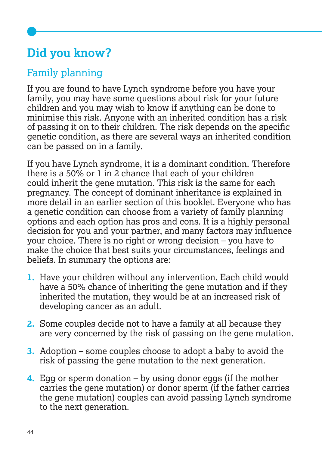# **Did you know?**

# Family planning

If you are found to have Lynch syndrome before you have your family, you may have some questions about risk for your future children and you may wish to know if anything can be done to minimise this risk. Anyone with an inherited condition has a risk of passing it on to their children. The risk depends on the specific genetic condition, as there are several ways an inherited condition can be passed on in a family.

If you have Lynch syndrome, it is a dominant condition. Therefore there is a 50% or 1 in 2 chance that each of your children could inherit the gene mutation. This risk is the same for each pregnancy. The concept of dominant inheritance is explained in more detail in an earlier section of this booklet. Everyone who has a genetic condition can choose from a variety of family planning options and each option has pros and cons. It is a highly personal decision for you and your partner, and many factors may influence your choice. There is no right or wrong decision – you have to make the choice that best suits your circumstances, feelings and beliefs. In summary the options are:

- **1.** Have your children without any intervention. Each child would have a 50% chance of inheriting the gene mutation and if they inherited the mutation, they would be at an increased risk of developing cancer as an adult.
- **2.** Some couples decide not to have a family at all because they are very concerned by the risk of passing on the gene mutation.
- **3.** Adoption some couples choose to adopt a baby to avoid the risk of passing the gene mutation to the next generation.
- **4.** Egg or sperm donation by using donor eggs (if the mother carries the gene mutation) or donor sperm (if the father carries the gene mutation) couples can avoid passing Lynch syndrome to the next generation.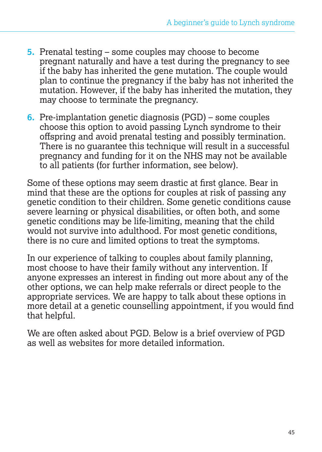- **5.** Prenatal testing some couples may choose to become pregnant naturally and have a test during the pregnancy to see if the baby has inherited the gene mutation. The couple would plan to continue the pregnancy if the baby has not inherited the mutation. However, if the baby has inherited the mutation, they may choose to terminate the pregnancy.
- **6.** Pre-implantation genetic diagnosis (PGD) some couples choose this option to avoid passing Lynch syndrome to their offspring and avoid prenatal testing and possibly termination. There is no quarantee this technique will result in a successful pregnancy and funding for it on the NHS may not be available to all patients (for further information, see below).

Some of these options may seem drastic at first glance. Bear in mind that these are the options for couples at risk of passing any genetic condition to their children. Some genetic conditions cause severe learning or physical disabilities, or often both, and some genetic conditions may be life-limiting, meaning that the child would not survive into adulthood. For most genetic conditions, there is no cure and limited options to treat the symptoms.

In our experience of talking to couples about family planning, most choose to have their family without any intervention. If anyone expresses an interest in finding out more about any of the other options, we can help make referrals or direct people to the appropriate services. We are happy to talk about these options in more detail at a genetic counselling appointment, if you would find that helpful.

We are often asked about PGD. Below is a brief overview of PGD as well as websites for more detailed information.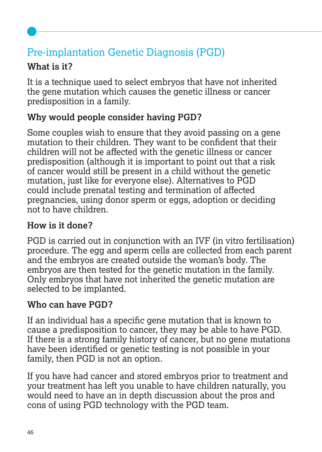# Pre-implantation Genetic Diagnosis (PGD)

# **What is it?**

It is a technique used to select embryos that have not inherited the gene mutation which causes the genetic illness or cancer predisposition in a family.

# **Why would people consider having PGD?**

Some couples wish to ensure that they avoid passing on a gene mutation to their children. They want to be confident that their children will not be affected with the genetic illness or cancer predisposition (although it is important to point out that a risk of cancer would still be present in a child without the genetic mutation, just like for everyone else). Alternatives to PGD could include prenatal testing and termination of affected pregnancies, using donor sperm or eggs, adoption or deciding not to have children.

# **How is it done?**

PGD is carried out in conjunction with an IVF (in vitro fertilisation) procedure. The egg and sperm cells are collected from each parent and the embryos are created outside the woman's body. The embryos are then tested for the genetic mutation in the family. Only embryos that have not inherited the genetic mutation are selected to be implanted.

# **Who can have PGD?**

If an individual has a specific gene mutation that is known to cause a predisposition to cancer, they may be able to have PGD. If there is a strong family history of cancer, but no gene mutations have been identified or genetic testing is not possible in your family, then PGD is not an option.

If you have had cancer and stored embryos prior to treatment and your treatment has left you unable to have children naturally, you would need to have an in depth discussion about the pros and cons of using PGD technology with the PGD team.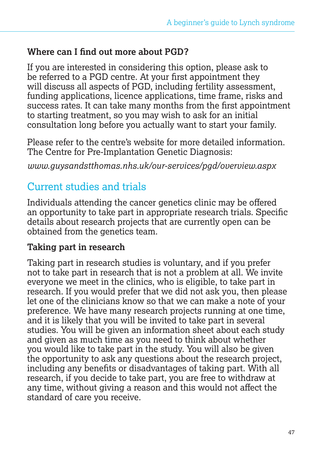#### **Where can I find out more about PGD?**

If you are interested in considering this option, please ask to be referred to a PGD centre. At your first appointment they will discuss all aspects of PGD, including fertility assessment, funding applications, licence applications, time frame, risks and success rates. It can take many months from the first appointment to starting treatment, so you may wish to ask for an initial consultation long before you actually want to start your family.

Please refer to the centre's website for more detailed information. The Centre for Pre-Implantation Genetic Diagnosis:

*www.guysandstthomas.nhs.uk/our-services/pgd/overview.aspx*

# Current studies and trials

Individuals attending the cancer genetics clinic may be offered an opportunity to take part in appropriate research trials. Specific details about research projects that are currently open can be obtained from the genetics team.

#### **Taking part in research**

Taking part in research studies is voluntary, and if you prefer not to take part in research that is not a problem at all. We invite everyone we meet in the clinics, who is eligible, to take part in research. If you would prefer that we did not ask you, then please let one of the clinicians know so that we can make a note of your preference. We have many research projects running at one time, and it is likely that you will be invited to take part in several studies. You will be given an information sheet about each study and given as much time as you need to think about whether you would like to take part in the study. You will also be given the opportunity to ask any questions about the research project, including any benefits or disadvantages of taking part. With all research, if you decide to take part, you are free to withdraw at any time, without giving a reason and this would not affect the standard of care you receive.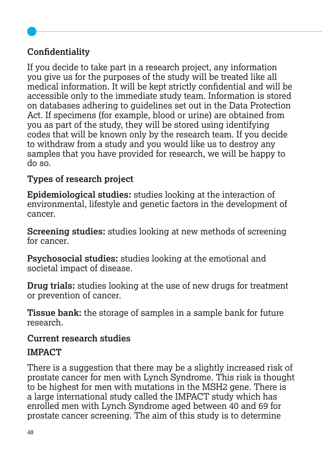# **Confidentiality**

If you decide to take part in a research project, any information you give us for the purposes of the study will be treated like all medical information. It will be kept strictly confidential and will be accessible only to the immediate study team. Information is stored on databases adhering to guidelines set out in the Data Protection Act. If specimens (for example, blood or urine) are obtained from you as part of the study, they will be stored using identifying codes that will be known only by the research team. If you decide to withdraw from a study and you would like us to destroy any samples that you have provided for research, we will be happy to do so.

# **Types of research project**

**Epidemiological studies:** studies looking at the interaction of environmental, lifestyle and genetic factors in the development of cancer.

**Screening studies:** studies looking at new methods of screening for cancer.

**Psychosocial studies:** studies looking at the emotional and societal impact of disease.

**Drug trials:** studies looking at the use of new drugs for treatment or prevention of cancer.

**Tissue bank:** the storage of samples in a sample bank for future research.

#### **Current research studies**

#### **IMPACT**

There is a suggestion that there may be a slightly increased risk of prostate cancer for men with Lynch Syndrome. This risk is thought to be highest for men with mutations in the MSH2 gene. There is a large international study called the IMPACT study which has enrolled men with Lynch Syndrome aged between 40 and 69 for prostate cancer screening. The aim of this study is to determine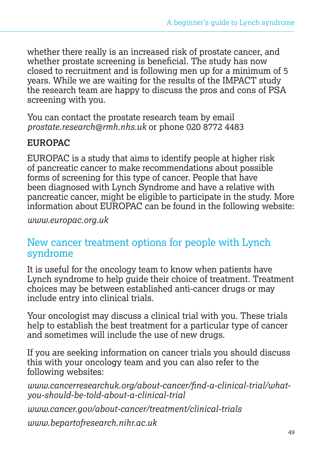whether there really is an increased risk of prostate cancer, and whether prostate screening is beneficial. The study has now closed to recruitment and is following men up for a minimum of 5 years. While we are waiting for the results of the IMPACT study the research team are happy to discuss the pros and cons of PSA screening with you.

You can contact the prostate research team by email *prostate.research@rmh.nhs.uk* or phone 020 8772 4483

#### **EUROPAC**

EUROPAC is a study that aims to identify people at higher risk of pancreatic cancer to make recommendations about possible forms of screening for this type of cancer. People that have been diagnosed with Lynch Syndrome and have a relative with pancreatic cancer, might be eligible to participate in the study. More information about EUROPAC can be found in the following website:

*www.europac.org.uk* 

# New cancer treatment options for people with Lynch syndrome

It is useful for the oncology team to know when patients have Lynch syndrome to help guide their choice of treatment. Treatment choices may be between established anti-cancer drugs or may include entry into clinical trials.

Your oncologist may discuss a clinical trial with you. These trials help to establish the best treatment for a particular type of cancer and sometimes will include the use of new drugs.

If you are seeking information on cancer trials you should discuss this with your oncology team and you can also refer to the following websites:

*www.cancerresearchuk.org/about-cancer/find-a-clinical-trial/whatyou-should-be-told-about-a-clinical-trial* 

*www.cancer.gov/about-cancer/treatment/clinical-trials* 

*www.bepartofresearch.nihr.ac.uk*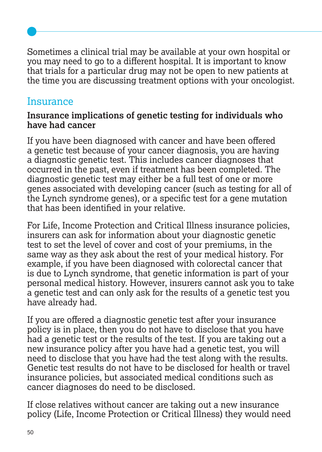Sometimes a clinical trial may be available at your own hospital or you may need to go to a different hospital. It is important to know that trials for a particular drug may not be open to new patients at the time you are discussing treatment options with your oncologist.

# **Insurance**

#### **Insurance implications of genetic testing for individuals who have had cancer**

If you have been diagnosed with cancer and have been offered a genetic test because of your cancer diagnosis, you are having a diagnostic genetic test. This includes cancer diagnoses that occurred in the past, even if treatment has been completed. The diagnostic genetic test may either be a full test of one or more genes associated with developing cancer (such as testing for all of the Lynch syndrome genes), or a specific test for a gene mutation that has been identified in your relative.

For Life, Income Protection and Critical Illness insurance policies, insurers can ask for information about your diagnostic genetic test to set the level of cover and cost of your premiums, in the same way as they ask about the rest of your medical history. For example, if you have been diagnosed with colorectal cancer that is due to Lynch syndrome, that genetic information is part of your personal medical history. However, insurers cannot ask you to take a genetic test and can only ask for the results of a genetic test you have already had.

If you are offered a diagnostic genetic test after your insurance policy is in place, then you do not have to disclose that you have had a genetic test or the results of the test. If you are taking out a new insurance policy after you have had a genetic test, you will need to disclose that you have had the test along with the results. Genetic test results do not have to be disclosed for health or travel insurance policies, but associated medical conditions such as cancer diagnoses do need to be disclosed.

If close relatives without cancer are taking out a new insurance policy (Life, Income Protection or Critical Illness) they would need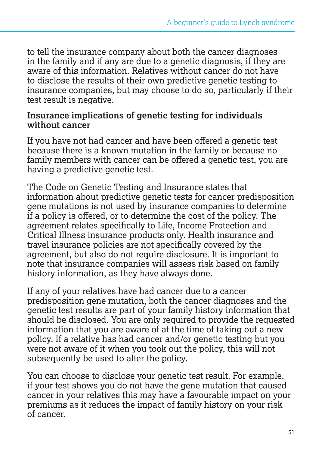to tell the insurance company about both the cancer diagnoses in the family and if any are due to a genetic diagnosis, if they are aware of this information. Relatives without cancer do not have to disclose the results of their own predictive genetic testing to insurance companies, but may choose to do so, particularly if their test result is negative.

#### **Insurance implications of genetic testing for individuals without cancer**

If you have not had cancer and have been offered a genetic test because there is a known mutation in the family or because no family members with cancer can be offered a genetic test, you are having a predictive genetic test.

The Code on Genetic Testing and Insurance states that information about predictive genetic tests for cancer predisposition gene mutations is not used by insurance companies to determine if a policy is offered, or to determine the cost of the policy. The agreement relates specifically to Life, Income Protection and Critical Illness insurance products only. Health insurance and travel insurance policies are not specifically covered by the agreement, but also do not require disclosure. It is important to note that insurance companies will assess risk based on family history information, as they have always done.

If any of your relatives have had cancer due to a cancer predisposition gene mutation, both the cancer diagnoses and the genetic test results are part of your family history information that should be disclosed. You are only required to provide the requested information that you are aware of at the time of taking out a new policy. If a relative has had cancer and/or genetic testing but you were not aware of it when you took out the policy, this will not subsequently be used to alter the policy.

You can choose to disclose your genetic test result. For example, if your test shows you do not have the gene mutation that caused cancer in your relatives this may have a favourable impact on your premiums as it reduces the impact of family history on your risk of cancer.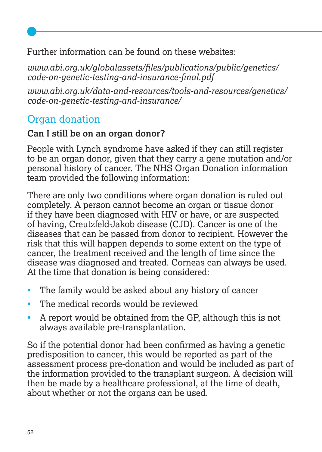Further information can be found on these websites:

*www.abi.org.uk/globalassets/files/publications/public/genetics/ code-on-genetic-testing-and-insurance-final.pdf*

*www.abi.org.uk/data-and-resources/tools-and-resources/genetics/ code-on-genetic-testing-and-insurance/*

# Organ donation

#### **Can I still be on an organ donor?**

People with Lynch syndrome have asked if they can still register to be an organ donor, given that they carry a gene mutation and/or personal history of cancer. The NHS Organ Donation information team provided the following information:

There are only two conditions where organ donation is ruled out completely. A person cannot become an organ or tissue donor if they have been diagnosed with HIV or have, or are suspected of having, Creutzfeld-Jakob disease (CJD). Cancer is one of the diseases that can be passed from donor to recipient. However the risk that this will happen depends to some extent on the type of cancer, the treatment received and the length of time since the disease was diagnosed and treated. Corneas can always be used. At the time that donation is being considered:

- The family would be asked about any history of cancer
- The medical records would be reviewed
- A report would be obtained from the GP, although this is not always available pre-transplantation.

So if the potential donor had been confirmed as having a genetic predisposition to cancer, this would be reported as part of the assessment process pre-donation and would be included as part of the information provided to the transplant surgeon. A decision will then be made by a healthcare professional, at the time of death, about whether or not the organs can be used.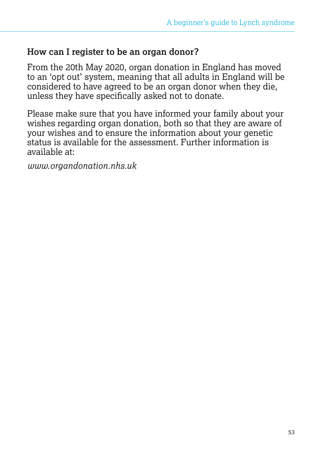#### **How can I register to be an organ donor?**

From the 20th May 2020, organ donation in England has moved to an 'opt out' system, meaning that all adults in England will be considered to have agreed to be an organ donor when they die, unless they have specifically asked not to donate.

Please make sure that you have informed your family about your wishes regarding organ donation, both so that they are aware of your wishes and to ensure the information about your genetic status is available for the assessment. Further information is available at:

*www.organdonation.nhs.uk*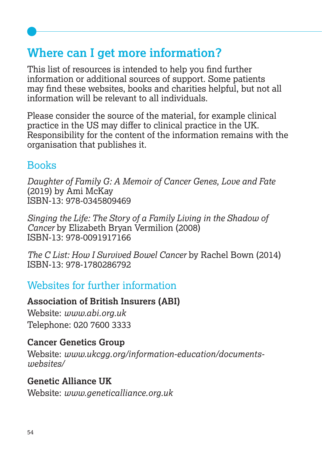# **Where can I get more information?**

This list of resources is intended to help you find further information or additional sources of support. Some patients may find these websites, books and charities helpful, but not all information will be relevant to all individuals.

Please consider the source of the material, for example clinical practice in the US may differ to clinical practice in the UK. Responsibility for the content of the information remains with the organisation that publishes it.

# Books

*Daughter of Family G: A Memoir of Cancer Genes, Love and Fate*  (2019) by Ami McKay ISBN-13: 978-0345809469

*Singing the Life: The Story of a Family Living in the Shadow of Cancer* by Elizabeth Bryan Vermilion (2008) ISBN-13: 978-0091917166

*The C List: How I Survived Bowel Cancer* by Rachel Bown (2014) ISBN-13: 978-1780286792

# Websites for further information

#### **Association of British Insurers (ABI)**

Website: *www.abi.org.uk* Telephone: 020 7600 3333

#### **Cancer Genetics Group**

Website: *www.ukcgg.org/information-education/documentswebsites/*

#### **Genetic Alliance UK**

Website: *www.geneticalliance.org.uk*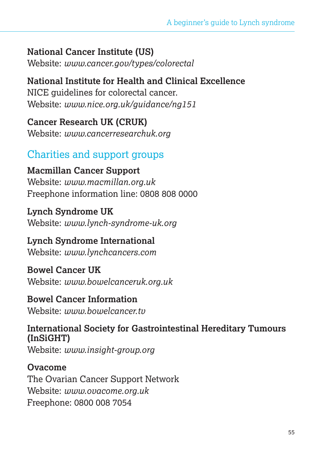# **National Cancer Institute (US)**

Website: *www.cancer.gov/types/colorectal* 

**National Institute for Health and Clinical Excellence** NICE guidelines for colorectal cancer. Website: *www.nice.org.uk/guidance/ng151*

**Cancer Research UK (CRUK)** Website: *www.cancerresearchuk.org*

# Charities and support groups

**Macmillan Cancer Support** Website: *www.macmillan.org.uk* Freephone information line: 0808 808 0000

**Lynch Syndrome UK** Website: *www.lynch-syndrome-uk.org*

#### **Lynch Syndrome International** Website: *www.lynchcancers.com*

**Bowel Cancer UK** Website: *www.bowelcanceruk.org.uk* 

**Bowel Cancer Information** Website: *www.bowelcancer.tv*

**International Society for Gastrointestinal Hereditary Tumours (InSiGHT)** Website: *www.insight-group.org* 

**Ovacome** The Ovarian Cancer Support Network Website: *www.ovacome.org.uk*  Freephone: 0800 008 7054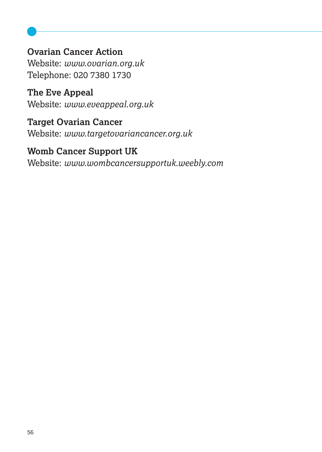#### **Ovarian Cancer Action** Website: *www.ovarian.org.uk*

Telephone: 020 7380 1730

**The Eve Appeal** Website: *www.eveappeal.org.uk*

**Target Ovarian Cancer** Website: *www.targetovariancancer.org.uk*

# **Womb Cancer Support UK**

Website: *www.wombcancersupportuk.weebly.com*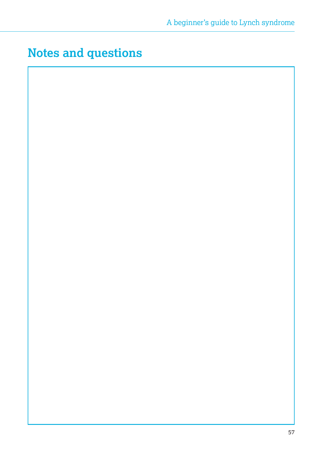# **Notes and questions**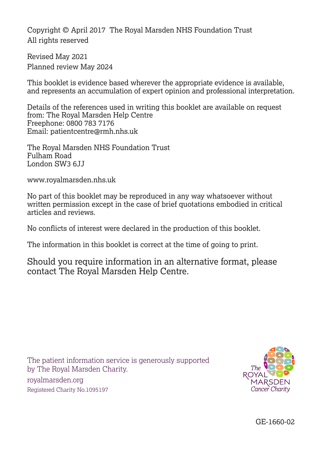Copyright © April 2017 The Royal Marsden NHS Foundation Trust All rights reserved

Revised May 2021 Planned review May 2024

This booklet is evidence based wherever the appropriate evidence is available, and represents an accumulation of expert opinion and professional interpretation.

Details of the references used in writing this booklet are available on request from: The Royal Marsden Help Centre Freephone: 0800 783 7176 Email: patientcentre@rmh.nhs.uk

The Royal Marsden NHS Foundation Trust Fulham Road London SW3 6JJ

www.royalmarsden.nhs.uk

No part of this booklet may be reproduced in any way whatsoever without written permission except in the case of brief quotations embodied in critical articles and reviews.

No conflicts of interest were declared in the production of this booklet.

The information in this booklet is correct at the time of going to print.

Should you require information in an alternative format, please contact The Royal Marsden Help Centre.

The patient information service is generously supported by The Royal Marsden Charity.

royalmarsden.org Registered Charity No.1095197



GE-1660-02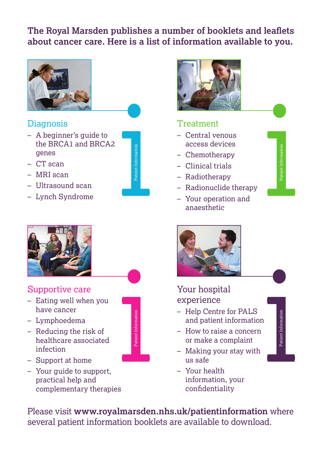# **The Royal Marsden publishes a number of booklets and leaflets The Royal Marsden publishes a number of booklets and leaflets about cancer care. Here is a list of information available to you. about cancer care. Here is a list of information available to you. about cancer care. Here is a list of information available to you.**



#### Diagnosis Diagnosis

- A beginner's guide to the BRCA1 and BRCA2 genes genes genes Diagnosis<br>
- A beginner's guide to<br>
the BRCA1 and BRCA2<br>
genes<br>
- CT scan<br>
- MRI scan<br>
- Ultrasound scan<br>
- Lynch Syndrome
- CT scan CT scan CT scan
- MRI scan MRI scan MRI scan
- Ultrasound scan Ultrasound scan Ultrasound scan
- Lynch Syndrome Lynch



# **increase the Patient Information**

#### Supportive care

- Supportive care<br>– Eating well when you have cancer have cancer
- have cancer<br>– Lymphoedema
- Reducing the risk of Reducing the risk of Reducing the risk of healthcare associated healthcare associated healthcare infection infection infection<br>— Support at home
- 
- Your guide to support, practical help and practical help and Your guide to practical help and complementary therapies



Please visit **www.royalmarsden.nhs.uk/patientinformation** where Please visit **www.royalmarsden.nhs.uk/patientinformation** where Please visit **www.royalmarsden.nhs.uk/patientinformation** where several patient information booklets are available to download. several patient information booklets are available to download. several patient information booklets are available to download.